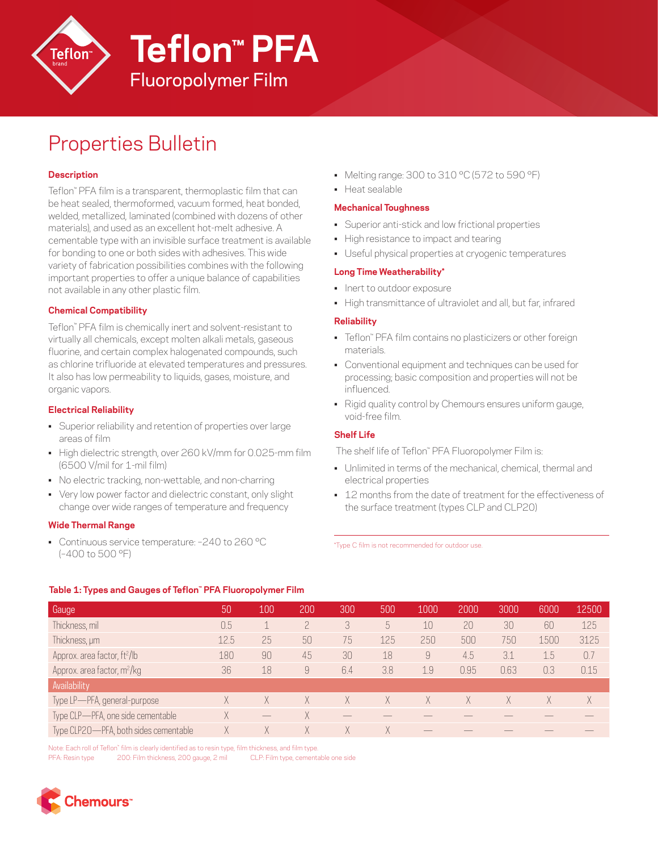

# Fluoropolymer Film **Teflon™ PFA**

## Properties Bulletin

## **Description**

Teflon™ PFA film is a transparent, thermoplastic film that can be heat sealed, thermoformed, vacuum formed, heat bonded, welded, metallized, laminated (combined with dozens of other materials), and used as an excellent hot-melt adhesive. A cementable type with an invisible surface treatment is available for bonding to one or both sides with adhesives. This wide variety of fabrication possibilities combines with the following important properties to offer a unique balance of capabilities not available in any other plastic film.

### **Chemical Compatibility**

Teflon™ PFA film is chemically inert and solvent-resistant to virtually all chemicals, except molten alkali metals, gaseous fluorine, and certain complex halogenated compounds, such as chlorine trifluoride at elevated temperatures and pressures. It also has low permeability to liquids, gases, moisture, and organic vapors.

### **Electrical Reliability**

- Superior reliability and retention of properties over large areas of film
- High dielectric strength, over 260 kV/mm for 0.025-mm film (6500 V/mil for 1-mil film)
- No electric tracking, non-wettable, and non-charring
- Very low power factor and dielectric constant, only slight change over wide ranges of temperature and frequency

### **Wide Thermal Range**

• Continuous service temperature: -240 to 260 °C (–400 to 500 °F)

- Melting range: 300 to 310 °C (572 to 590 °F)
- Heat sealable

#### **Mechanical Toughness**

- Superior anti-stick and low frictional properties
- High resistance to impact and tearing
- Useful physical properties at cryogenic temperatures

### **Long Time Weatherability\***

- Inert to outdoor exposure
- High transmittance of ultraviolet and all, but far, infrared

#### **Reliability**

- Teflon™ PFA film contains no plasticizers or other foreign materials.
- Conventional equipment and techniques can be used for processing; basic composition and properties will not be influenced.
- Rigid quality control by Chemours ensures uniform gauge, void-free film.

### **Shelf Life**

The shelf life of Teflon™ PFA Fluoropolymer Film is:

- Unlimited in terms of the mechanical, chemical, thermal and electrical properties
- 12 months from the date of treatment for the effectiveness of the surface treatment (types CLP and CLP20)

\*Type C film is not recommended for outdoor use.

#### **Table 1: Types and Gauges of Teflon™ PFA Fluoropolymer Film**

| Gauge                                    | 50   | 100 | 200 | 300 | 500 | 1000 | 2000 | 3000 | 6000 | 12500 |
|------------------------------------------|------|-----|-----|-----|-----|------|------|------|------|-------|
| Thickness, mil                           | 0.5  |     |     | 3   | 5   | 10   | 20   | 30   | 60   | 125   |
| Thickness, um                            | 12.5 | 25  | 50  | 75  | 125 | 250  | 500  | 750  | 1500 | 3125  |
| Approx. area factor, ft <sup>2</sup> /lb | 180  | 90  | 45  | 30  | 18  | 9    | 4.5  | 3.1  | 1.5  | 0.7   |
| Approx. area factor, m <sup>2</sup> /kg  | 36   | 18  | 9   | 6.4 | 3.8 | 1.9  | 0.95 | 0.63 | 0.3  | 0.15  |
| Availability                             |      |     |     |     |     |      |      |      |      |       |
| Type LP-PFA, general-purpose             | Χ    |     | X   | Χ.  | X   | X    | Χ    | X    | Χ    | X     |
| Type CLP-PFA, one side cementable        | X    |     | X   |     |     |      |      |      |      |       |
| Type CLP20-PFA, both sides cementable    | Χ    |     | X   | Χ   | X   |      |      |      |      |       |

Note: Each roll of Teflon™ film is clearly identified as to resin type, film thickness, and film type.

PFA: Resin type 200: Film thickness, 200 gauge, 2 mil CLP: Film type, cementable one side